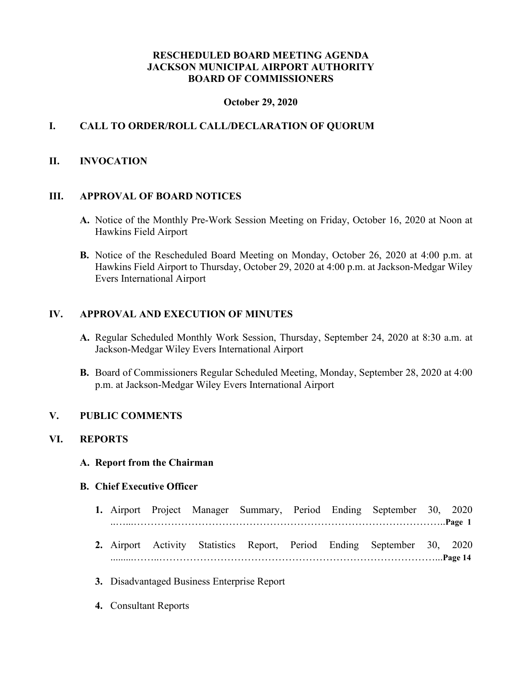## **RESCHEDULED BOARD MEETING AGENDA JACKSON MUNICIPAL AIRPORT AUTHORITY BOARD OF COMMISSIONERS**

#### **October 29, 2020**

# **I. CALL TO ORDER/ROLL CALL/DECLARATION OF QUORUM**

#### **II. INVOCATION**

#### **III. APPROVAL OF BOARD NOTICES**

- **A.** Notice of the Monthly Pre-Work Session Meeting on Friday, October 16, 2020 at Noon at Hawkins Field Airport
- **B.** Notice of the Rescheduled Board Meeting on Monday, October 26, 2020 at 4:00 p.m. at Hawkins Field Airport to Thursday, October 29, 2020 at 4:00 p.m. at Jackson-Medgar Wiley Evers International Airport

#### **IV. APPROVAL AND EXECUTION OF MINUTES**

- **A.** Regular Scheduled Monthly Work Session, Thursday, September 24, 2020 at 8:30 a.m. at Jackson-Medgar Wiley Evers International Airport
- **B.** Board of Commissioners Regular Scheduled Meeting, Monday, September 28, 2020 at 4:00 p.m. at Jackson-Medgar Wiley Evers International Airport

#### **V. PUBLIC COMMENTS**

#### **VI. REPORTS**

**A. Report from the Chairman**

#### **B. Chief Executive Officer**

- **1.** Airport Project Manager Summary, Period Ending September 30, 2020 ..…...………………………………………………………………………………..**Page 1**
- **2.** Airport Activity Statistics Report, Period Ending September 30, 2020 .........……..………………………………………………………………………...**Page 14**
- **3.** Disadvantaged Business Enterprise Report
- **4.** Consultant Reports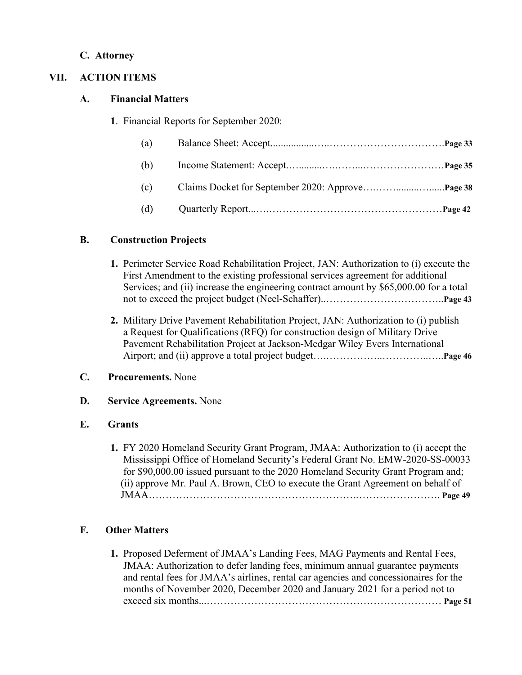## **C. Attorney**

# **VII. ACTION ITEMS**

## **A. Financial Matters**

**1**. Financial Reports for September 2020:

| (a) |  |
|-----|--|
| (b) |  |
| (c) |  |
| (d) |  |

# **B. Construction Projects**

- **1.** Perimeter Service Road Rehabilitation Project, JAN: Authorization to (i) execute the First Amendment to the existing professional services agreement for additional Services; and (ii) increase the engineering contract amount by \$65,000.00 for a total not to exceed the project budget (Neel-Schaffer)..……………………………..**Page 43**
- **2.** Military Drive Pavement Rehabilitation Project, JAN: Authorization to (i) publish a Request for Qualifications (RFQ) for construction design of Military Drive Pavement Rehabilitation Project at Jackson-Medgar Wiley Evers International Airport; and (ii) approve a total project budget….……………..…………..…..**Page 46**

## **C. Procurements.** None

## **D. Service Agreements.** None

## **E. Grants**

 **1.** FY 2020 Homeland Security Grant Program, JMAA: Authorization to (i) accept the Mississippi Office of Homeland Security's Federal Grant No. EMW-2020-SS-00033 for \$90,000.00 issued pursuant to the 2020 Homeland Security Grant Program and; (ii) approve Mr. Paul A. Brown, CEO to execute the Grant Agreement on behalf of JMAA…………………………………………………….……………………. **Page 49**

# **F. Other Matters**

**1.** Proposed Deferment of JMAA's Landing Fees, MAG Payments and Rental Fees, JMAA: Authorization to defer landing fees, minimum annual guarantee payments and rental fees for JMAA's airlines, rental car agencies and concessionaires for the months of November 2020, December 2020 and January 2021 for a period not to exceed six months...…………………………………………………………… **Page 51**